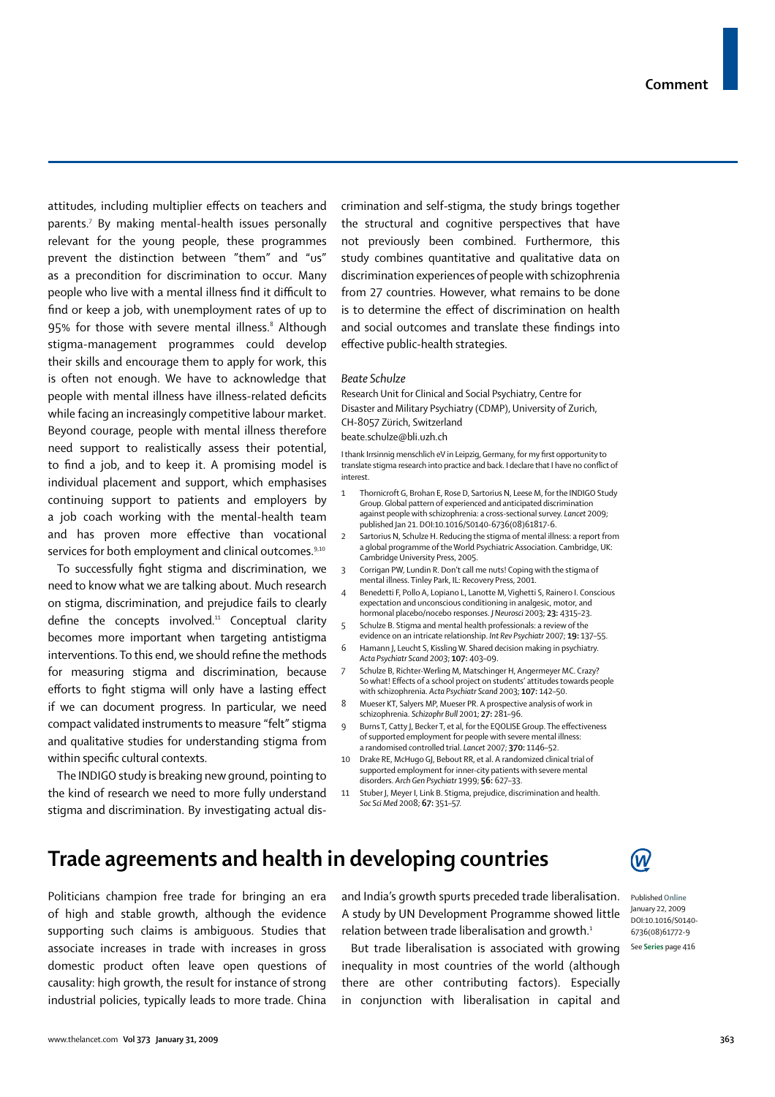attitudes, including multiplier effects on teachers and parents.<sup>7</sup> By making mental-health issues personally relevant for the young people, these programmes prevent the distinction between "them" and "us" as a precondition for discrimination to occur. Many people who live with a mental illness find it difficult to find or keep a job, with unemployment rates of up to 95% for those with severe mental illness. $^{\text{\tiny{\textregistered}}}$  Although stigma-management programmes could develop their skills and encourage them to apply for work, this is often not enough. We have to acknowledge that people with mental illness have illness-related deficits while facing an increasingly competitive labour market. Beyond courage, people with mental illness therefore need support to realistically assess their potential, to find a job, and to keep it. A promising model is individual placement and support, which emphasises continuing support to patients and employers by a job coach working with the mental-health team and has proven more effective than vocational services for both employment and clinical outcomes.<sup>9,10</sup>

To successfully fight stigma and discrimination, we need to know what we are talking about. Much research on stigma, discrimination, and prejudice fails to clearly define the concepts involved. $11$  Conceptual clarity becomes more important when targeting antistigma interventions. To this end, we should refine the methods for measuring stigma and discrimination, because efforts to fight stigma will only have a lasting effect if we can document progress. In particular, we need compact validated instruments to measure "felt" stigma and qualitative studies for understanding stigma from within specific cultural contexts.

The INDIGO study is breaking new ground, pointing to the kind of research we need to more fully understand stigma and discrimination. By investigating actual discrimination and self-stigma, the study brings together the structural and cognitive perspectives that have not previously been combined. Furthermore, this study combines quantitative and qualitative data on discrimination experiences of people with schizophrenia from 27 countries. However, what remains to be done is to determine the effect of discrimination on health and social outcomes and translate these findings into effective public-health strategies.

#### *Beate Schulze*

Research Unit for Clinical and Social Psychiatry, Centre for Disaster and Military Psychiatry (CDMP), University of Zurich, CH-8057 Zürich, Switzerland beate.schulze@bli.uzh.ch

I thank Irrsinnig menschlich eV in Leipzig, Germany, for my first opportunity to translate stigma research into practice and back. I declare that I have no conflict of interest.

- 1 Thornicroft G, Brohan E, Rose D, Sartorius N, Leese M, for the INDIGO Study Group. Global pattern of experienced and anticipated discrimination against people with schizophrenia: a cross-sectional survey. *Lancet* 2009; published Jan 21. DOI:10.1016/S0140-6736(08)61817-6.
- 2 Sartorius N, Schulze H. Reducing the stigma of mental illness: a report from a global programme of the World Psychiatric Association. Cambridge, UK: Cambridge University Press, 2005.
- 3 Corrigan PW, Lundin R. Don't call me nuts! Coping with the stigma of mental illness. Tinley Park, IL: Recovery Press, 2001.
- 4 Benedetti F, Pollo A, Lopiano L, Lanotte M, Vighetti S, Rainero I. Conscious expectation and unconscious conditioning in analgesic, motor, and hormonal placebo/nocebo responses. *J Neurosci* 2003; **23:** 4315–23.
- 5 Schulze B. Stigma and mental health professionals: a review of the evidence on an intricate relationship. *Int Rev Psychiatr* 2007; **19:** 137–55.
- 6 Hamann J, Leucht S, Kissling W. Shared decision making in psychiatry. *Acta Psychiatr Scand 2003*; **107:** 403–09.
- 7 Schulze B, Richter-Werling M, Matschinger H, Angermeyer MC. Crazy? So what! Effects of a school project on students' attitudes towards people with schizophrenia. *Acta Psychiatr Scand* 2003; **107:** 142–50.
- 8 Mueser KT, Salyers MP, Mueser PR. A prospective analysis of work in schizophrenia. *Schizophr Bull* 2001; **27:** 281–96.
- 9 Burns T, Catty J, Becker T, et al, for the EQOLISE Group. The effectiveness of supported employment for people with severe mental illness: a randomised controlled trial. *Lancet* 2007; **370:** 1146–52.
- 10 Drake RE, McHugo GJ, Bebout RR, et al. A randomized clinical trial of supported employment for inner-city patients with severe mental disorders. *Arch Gen Psychiatr* 1999; **56:** 627–33.
- 11 Stuber J, Meyer I, Link B. Stigma, prejudice, discrimination and health. *Soc Sci Med* 2008; **67:** 351–57.

### **Trade agreements and health in developing countries**

Politicians champion free trade for bringing an era of high and stable growth, although the evidence supporting such claims is ambiguous. Studies that associate increases in trade with increases in gross domestic product often leave open questions of causality: high growth, the result for instance of strong industrial policies, typically leads to more trade. China and India's growth spurts preceded trade liberalisation. A study by UN Development Programme showed little relation between trade liberalisation and growth.<sup>1</sup>

But trade liberalisation is associated with growing inequality in most countries of the world (although there are other contributing factors). Especially in conjunction with liberalisation in capital and



Published **Online** January 22, 2009 DOI:10.1016/S0140- 6736(08)61772-9 See **Series** page 416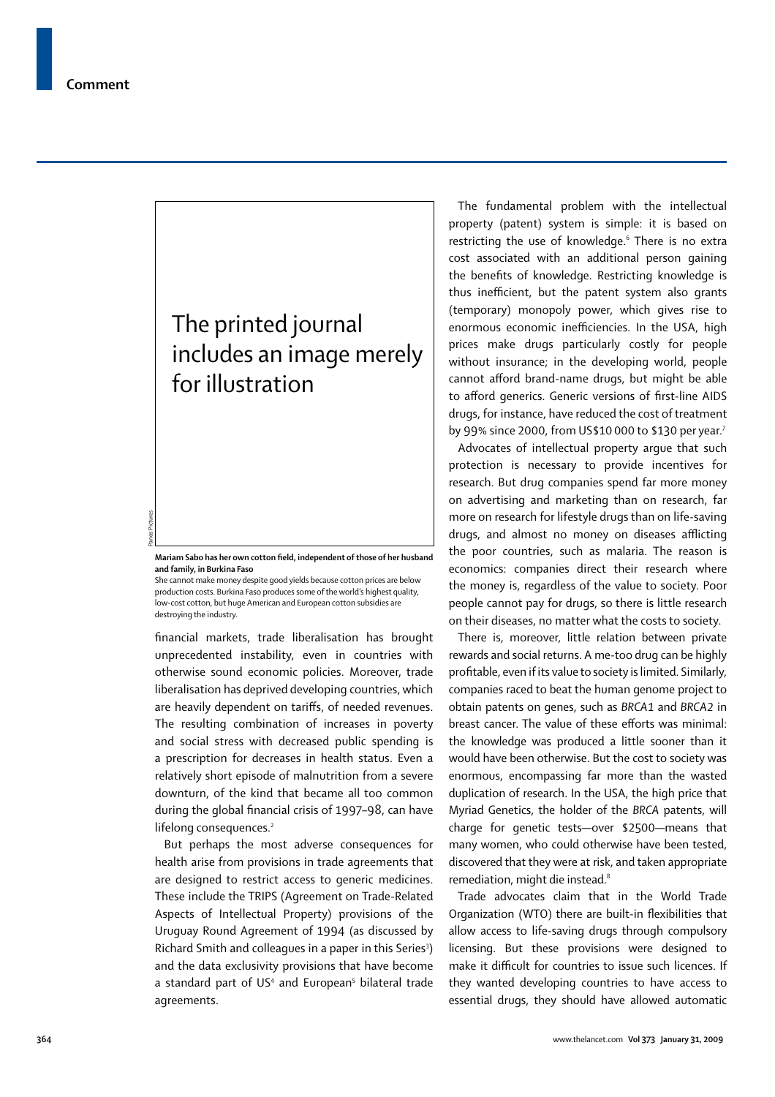Panos Pictures

# The printed journal includes an image merely for illustration

**Mariam Sabo has her own cotton field, independent of those of her husband and family, in Burkina Faso**

She cannot make money despite good yields because cotton prices are below production costs. Burkina Faso produces some of the world's highest quality, low-cost cotton, but huge American and European cotton subsidies are destroying the industry.

financial markets, trade liberalisation has brought unprecedented instability, even in countries with otherwise sound economic policies. Moreover, trade liberalisation has deprived developing countries, which are heavily dependent on tariffs, of needed revenues. The resulting combination of increases in poverty and social stress with decreased public spending is a prescription for decreases in health status. Even a relatively short episode of malnutrition from a severe downturn, of the kind that became all too common during the global financial crisis of 1997-98, can have lifelong consequences.<sup>2</sup>

But perhaps the most adverse consequences for health arise from provisions in trade agreements that are designed to restrict access to generic medicines. These include the TRIPS (Agreement on Trade-Related Aspects of Intellectual Property) provisions of the Uruguay Round Agreement of 1994 (as discussed by Richard Smith and colleagues in a paper in this Series<sup>3</sup>) and the data exclusivity provisions that have become a standard part of US<sup>4</sup> and European<sup>5</sup> bilateral trade agreements.

The fundamental problem with the intellectual property (patent) system is simple: it is based on restricting the use of knowledge.<sup>6</sup> There is no extra cost associated with an additional person gaining the benefits of knowledge. Restricting knowledge is thus inefficient, but the patent system also grants (temporary) monopoly power, which gives rise to enormous economic inefficiencies. In the USA, high prices make drugs particularly costly for people without insurance; in the developing world, people cannot afford brand-name drugs, but might be able to afford generics. Generic versions of first-line AIDS drugs, for instance, have reduced the cost of treatment by 99% since 2000, from US\$10 000 to \$130 per year.<sup>7</sup>

Advocates of intellectual property argue that such protection is necessary to provide incentives for research. But drug companies spend far more money on advertising and marketing than on research, far more on research for lifestyle drugs than on life-saving drugs, and almost no money on diseases afflicting the poor countries, such as malaria. The reason is economics: companies direct their research where the money is, regardless of the value to society. Poor people cannot pay for drugs, so there is little research on their diseases, no matter what the costs to society.

There is, moreover, little relation between private rewards and social returns. A me-too drug can be highly profitable, even if its value to society is limited. Similarly, companies raced to beat the human genome project to obtain patents on genes, such as *BRCA1* and *BRCA2* in breast cancer. The value of these efforts was minimal: the knowledge was produced a little sooner than it would have been otherwise. But the cost to society was enormous, encompassing far more than the wasted duplication of research. In the USA, the high price that Myriad Genetics, the holder of the *BRCA* patents, will charge for genetic tests—over \$2500—means that many women, who could otherwise have been tested, discovered that they were at risk, and taken appropriate remediation, might die instead.<sup>8</sup>

Trade advocates claim that in the World Trade Organization (WTO) there are built-in flexibilities that allow access to life-saving drugs through compulsory licensing. But these provisions were designed to make it difficult for countries to issue such licences. If they wanted developing countries to have access to essential drugs, they should have allowed automatic